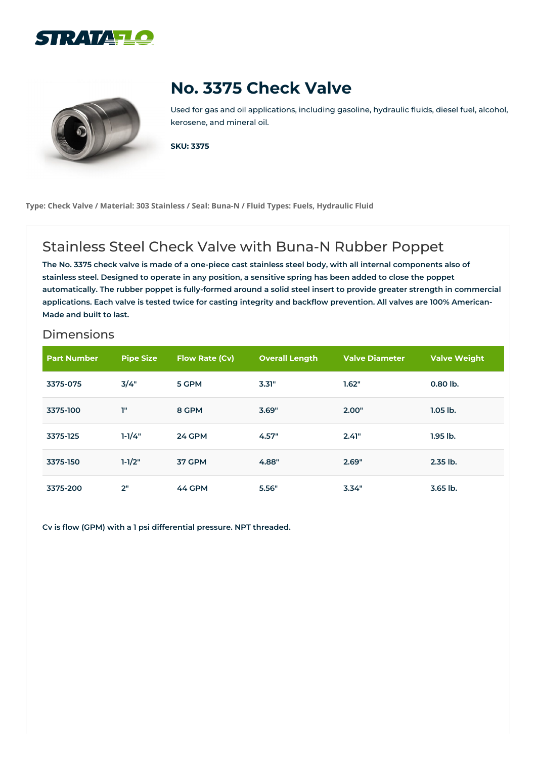



## **No. 3375 Check Valve**

Used for gas and oil applications, including gasoline, hydraulic fluids, diesel fuel, alcohol, kerosene, and mineral oil.

**SKU: 3375**

**Type: Check Valve / Material: 303 Stainless / Seal: Buna-N / Fluid Types: Fuels, Hydraulic Fluid**

## Stainless Steel Check Valve with Buna-N Rubber Poppet

The No. 3375 check valve is made of a one-piece cast stainless steel body, with all internal components also of stainless steel. Designed to operate in any position, a sensitive spring has been added to close the poppet automatically. The rubber poppet is fully-formed around a solid steel insert to provide greater strength in commercial applications. Each valve is tested twice for casting integrity and backflow prevention. All valves are 100% American-**Made and built to last.**

## **Dimensions**

| <b>Part Number</b> | <b>Pipe Size</b> | Flow Rate (Cv) | <b>Overall Length</b> | <b>Valve Diameter</b> | <b>Valve Weight</b> |
|--------------------|------------------|----------------|-----------------------|-----------------------|---------------------|
| 3375-075           | 3/4"             | 5 GPM          | 3.31"                 | 1.62"                 | 0.80 lb.            |
| 3375-100           | T"               | 8 GPM          | 3.69"                 | 2.00"                 | $1.05$ lb.          |
| 3375-125           | $1 - 1/4"$       | <b>24 GPM</b>  | 4.57"                 | 2.41"                 | $1.95$ lb.          |
| 3375-150           | $1 - 1/2"$       | 37 GPM         | 4.88"                 | 2.69"                 | 2.35 lb.            |
| 3375-200           | 2"               | 44 GPM         | 5.56"                 | 3.34"                 | $3.65$ lb.          |

**Cv is flow (GPM) with a 1 psi differential pressure. NPT threaded.**